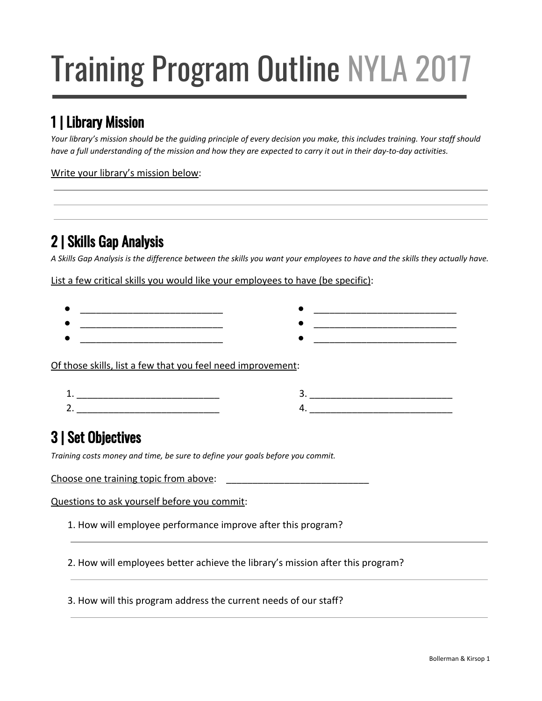# Training Program Outline NYLA 2017

### 1 | Library Mission

Your library's mission should be the quiding principle of every decision you make, this includes training. Your staff should have a full understanding of the mission and how they are expected to carry it out in their day-to-day activities.

Write your library's mission below:

#### 2 | Skills Gap Analysis

A Skills Gap Analysis is the difference between the skills you want your employees to have and the skills they actually have.

List a few critical skills you would like your employees to have (be specific):



 $4.$ 

## 3 | Set Objectives

*Training costs money and time, be sure to define your goals before you commit.*

Choose one training topic from above: \_\_\_\_\_\_\_\_\_\_\_\_\_\_\_\_\_\_\_\_\_\_\_\_\_\_\_

 $2.$ 

Questions to ask yourself before you commit:

1. How will employee performance improve after this program?

2. How will employees better achieve the library's mission after this program?

3. How will this program address the current needs of our staff?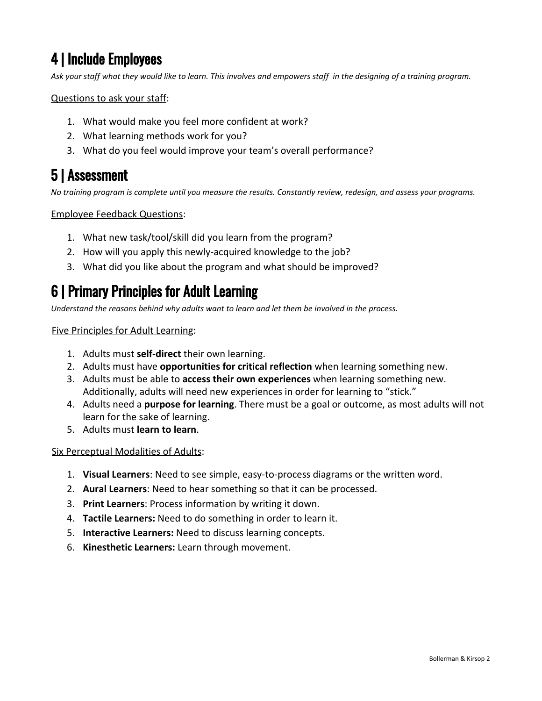#### 4 | Include Employees

Ask your staff what they would like to learn. This involves and empowers staff in the designing of a training program.

Questions to ask your staff:

- 1. What would make you feel more confident at work?
- 2. What learning methods work for you?
- 3. What do you feel would improve your team's overall performance?

#### 5 | Assessment

No training program is complete until you measure the results. Constantly review, redesign, and assess your programs.

Employee Feedback Questions:

- 1. What new task/tool/skill did you learn from the program?
- 2. How will you apply this newly-acquired knowledge to the job?
- 3. What did you like about the program and what should be improved?

#### 6 | Primary Principles for Adult Learning

*Understand the reasons behind why adults want to learn and let them be involved in the process.*

Five Principles for Adult Learning:

- 1. Adults must **self-direct** their own learning.
- 2. Adults must have **opportunities for critical reflection** when learning something new.
- 3. Adults must be able to **access their own experiences** when learning something new. Additionally, adults will need new experiences in order for learning to "stick."
- 4. Adults need a **purpose for learning**. There must be a goal or outcome, as most adults will not learn for the sake of learning.
- 5. Adults must **learn to learn**.

Six Perceptual Modalities of Adults:

- 1. **Visual Learners**: Need to see simple, easy-to-process diagrams or the written word.
- 2. **Aural Learners**: Need to hear something so that it can be processed.
- 3. **Print Learners**: Process information by writing it down.
- 4. **Tactile Learners:** Need to do something in order to learn it.
- 5. **Interactive Learners:** Need to discuss learning concepts.
- 6. **Kinesthetic Learners:** Learn through movement.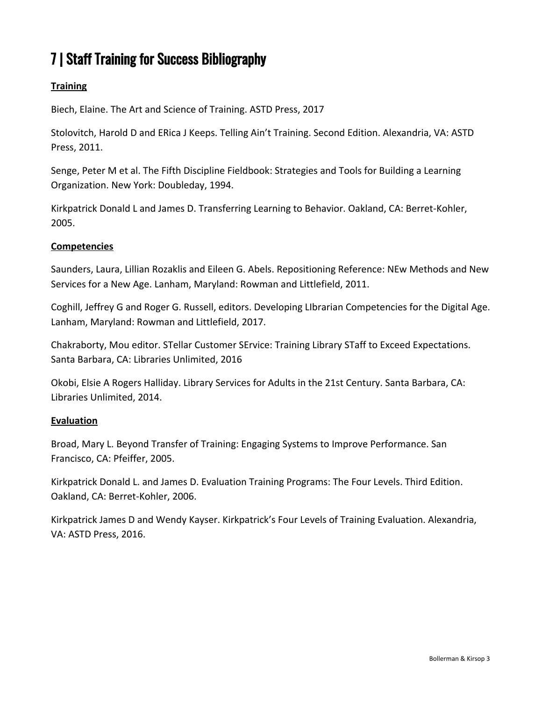#### 7 | Staff Training for Success Bibliography

#### **Training**

Biech, Elaine. The Art and Science of Training. ASTD Press, 2017

Stolovitch, Harold D and ERica J Keeps. Telling Ain't Training. Second Edition. Alexandria, VA: ASTD Press, 2011.

Senge, Peter M et al. The Fifth Discipline Fieldbook: Strategies and Tools for Building a Learning Organization. New York: Doubleday, 1994.

Kirkpatrick Donald L and James D. Transferring Learning to Behavior. Oakland, CA: Berret-Kohler, 2005.

#### **Competencies**

Saunders, Laura, Lillian Rozaklis and Eileen G. Abels. Repositioning Reference: NEw Methods and New Services for a New Age. Lanham, Maryland: Rowman and Littlefield, 2011.

Coghill, Jeffrey G and Roger G. Russell, editors. Developing LIbrarian Competencies for the Digital Age. Lanham, Maryland: Rowman and Littlefield, 2017.

Chakraborty, Mou editor. STellar Customer SErvice: Training Library STaff to Exceed Expectations. Santa Barbara, CA: Libraries Unlimited, 2016

Okobi, Elsie A Rogers Halliday. Library Services for Adults in the 21st Century. Santa Barbara, CA: Libraries Unlimited, 2014.

#### **Evaluation**

Broad, Mary L. Beyond Transfer of Training: Engaging Systems to Improve Performance. San Francisco, CA: Pfeiffer, 2005.

Kirkpatrick Donald L. and James D. Evaluation Training Programs: The Four Levels. Third Edition. Oakland, CA: Berret-Kohler, 2006.

Kirkpatrick James D and Wendy Kayser. Kirkpatrick's Four Levels of Training Evaluation. Alexandria, VA: ASTD Press, 2016.